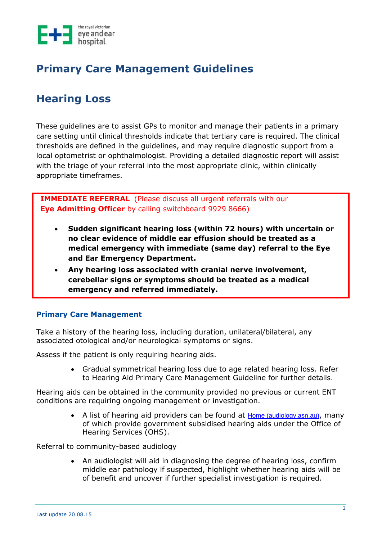

## **Primary Care Management Guidelines**

# **Hearing Loss**

These guidelines are to assist GPs to monitor and manage their patients in a primary care setting until clinical thresholds indicate that tertiary care is required. The clinical thresholds are defined in the guidelines, and may require diagnostic support from a local optometrist or ophthalmologist. Providing a detailed diagnostic report will assist with the triage of your referral into the most appropriate clinic, within clinically appropriate timeframes.

**IMMEDIATE REFERRAL** (Please discuss all urgent referrals with our **Eye Admitting Officer** by calling switchboard 9929 8666)

- **Sudden significant hearing loss (within 72 hours) with uncertain or no clear evidence of middle ear effusion should be treated as a medical emergency with immediate (same day) referral to the Eye and Ear Emergency Department.**
- **Any hearing loss associated with cranial nerve involvement, cerebellar signs or symptoms should be treated as a medical emergency and referred immediately.**

## **Primary Care Management**

Take a history of the hearing loss, including duration, unilateral/bilateral, any associated otological and/or neurological symptoms or signs.

Assess if the patient is only requiring hearing aids.

• Gradual symmetrical hearing loss due to age related hearing loss. Refer to Hearing Aid Primary Care Management Guideline for further details.

Hearing aids can be obtained in the community provided no previous or current ENT conditions are requiring ongoing management or investigation.

> • A list of hearing aid providers can be found at [Home \(audiology.asn.au\)](https://audiology.asn.au/Home), many of which provide government subsidised hearing aids under the Office of Hearing Services (OHS).

Referral to community-based audiology

• An audiologist will aid in diagnosing the degree of hearing loss, confirm middle ear pathology if suspected, highlight whether hearing aids will be of benefit and uncover if further specialist investigation is required.